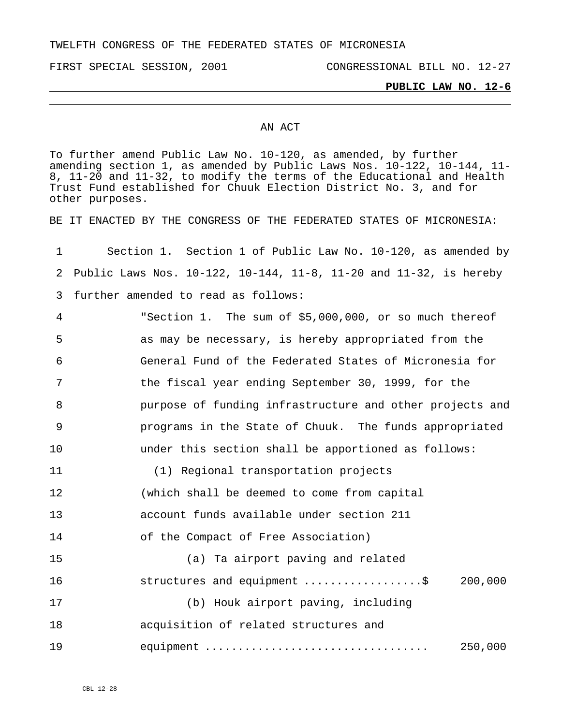TWELFTH CONGRESS OF THE FEDERATED STATES OF MICRONESIA

FIRST SPECIAL SESSION, 2001 CONGRESSIONAL BILL NO. 12-27

### **PUBLIC LAW NO. 12-6**

### AN ACT

To further amend Public Law No. 10-120, as amended, by further amending section 1, as amended by Public Laws Nos. 10-122, 10-144, 11- 8, 11-20 and 11-32, to modify the terms of the Educational and Health Trust Fund established for Chuuk Election District No. 3, and for other purposes.

BE IT ENACTED BY THE CONGRESS OF THE FEDERATED STATES OF MICRONESIA:

| 1           | Section 1. Section 1 of Public Law No. 10-120, as amended by      |
|-------------|-------------------------------------------------------------------|
| 2           | Public Laws Nos. 10-122, 10-144, 11-8, 11-20 and 11-32, is hereby |
| 3           | further amended to read as follows:                               |
| 4           | "Section 1. The sum of \$5,000,000, or so much thereof            |
| 5           | as may be necessary, is hereby appropriated from the              |
| 6           | General Fund of the Federated States of Micronesia for            |
| 7           | the fiscal year ending September 30, 1999, for the                |
| 8           | purpose of funding infrastructure and other projects and          |
| $\mathsf 9$ | programs in the State of Chuuk. The funds appropriated            |
| 10          | under this section shall be apportioned as follows:               |
| 11          | (1) Regional transportation projects                              |
| 12          | (which shall be deemed to come from capital                       |
| 13          | account funds available under section 211                         |
| 14          | of the Compact of Free Association)                               |
| 15          | (a) Ta airport paving and related                                 |
| 16          | 200,000<br>structures and equipment \$                            |
| 17          | (b) Houk airport paving, including                                |
| 18          | acquisition of related structures and                             |
| 19          | equipment<br>250,000                                              |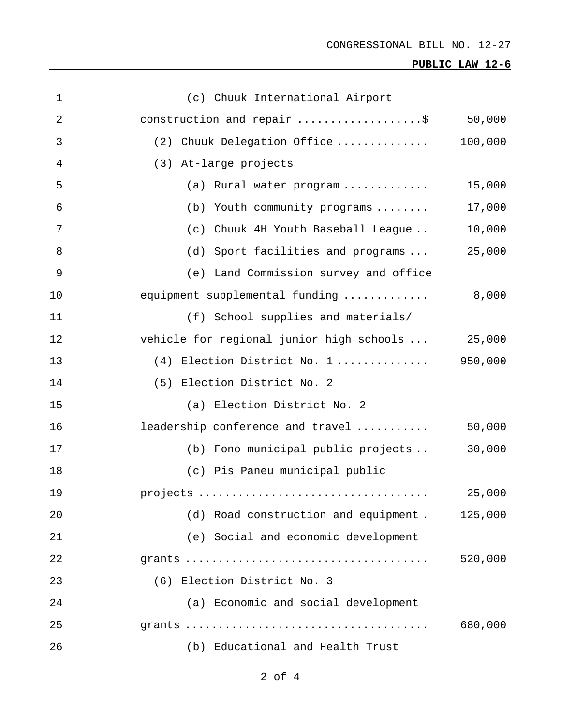# **PUBLIC LAW 12-6**

| $\mathbf{1}$   | (c) Chuuk International Airport                  |         |
|----------------|--------------------------------------------------|---------|
| $\overline{2}$ | construction and repair \$                       | 50,000  |
| 3              | (2) Chuuk Delegation Office                      | 100,000 |
| 4              | (3) At-large projects                            |         |
| 5              | (a) Rural water program                          | 15,000  |
| 6              | (b) Youth community programs                     | 17,000  |
| 7              | (c) Chuuk 4H Youth Baseball League               | 10,000  |
| 8              | (d) Sport facilities and programs                | 25,000  |
| $\overline{9}$ | (e) Land Commission survey and office            |         |
| 10             | equipment supplemental funding                   | 8,000   |
| 11             | (f) School supplies and materials/               |         |
| 12             | vehicle for regional junior high schools  25,000 |         |
| 13             | $(4)$ Election District No. 1                    | 950,000 |
| 14             | (5) Election District No. 2                      |         |
| 15             | (a) Election District No. 2                      |         |
| 16             | leadership conference and travel                 | 50,000  |
| 17             | (b) Fono municipal public projects               | 30,000  |
| 18             | (c) Pis Paneu municipal public                   |         |
| 19             |                                                  | 25,000  |
| 20             | (d) Road construction and equipment. 125,000     |         |
| 21             | (e) Social and economic development              |         |
| 22             |                                                  | 520,000 |
| 23             | (6) Election District No. 3                      |         |
| 24             | (a) Economic and social development              |         |
| 25             |                                                  | 680,000 |
| 26             | (b) Educational and Health Trust                 |         |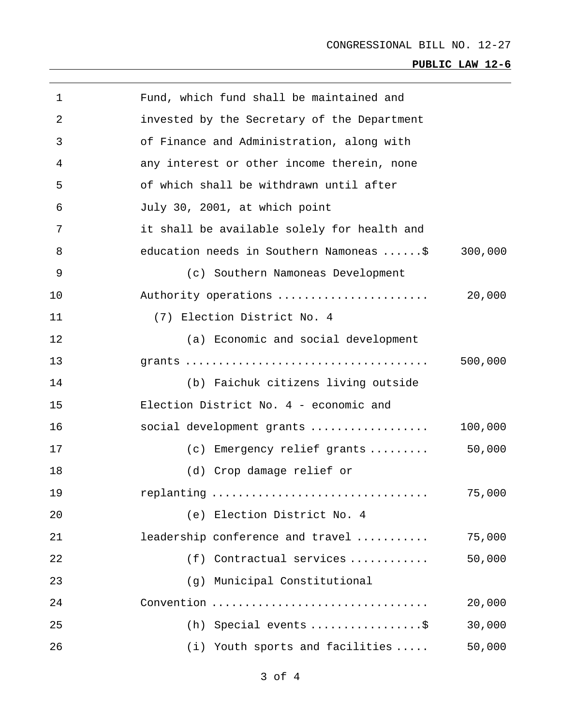# **PUBLIC LAW 12-6**

| 1  | Fund, which fund shall be maintained and    |         |
|----|---------------------------------------------|---------|
| 2  | invested by the Secretary of the Department |         |
| 3  | of Finance and Administration, along with   |         |
| 4  | any interest or other income therein, none  |         |
| 5  | of which shall be withdrawn until after     |         |
| 6  | July 30, 2001, at which point               |         |
| 7  | it shall be available solely for health and |         |
| 8  | education needs in Southern Namoneas \$     | 300,000 |
| 9  | (c) Southern Namoneas Development           |         |
| 10 | Authority operations                        | 20,000  |
| 11 | (7) Election District No. 4                 |         |
| 12 | (a) Economic and social development         |         |
| 13 |                                             | 500,000 |
| 14 | (b) Faichuk citizens living outside         |         |
| 15 | Election District No. 4 - economic and      |         |
| 16 | social development grants                   | 100,000 |
| 17 | (c) Emergency relief grants                 | 50,000  |
| 18 | (d) Crop damage relief or                   |         |
| 19 | replanting                                  | 75,000  |
| 20 | (e) Election District No. 4                 |         |
| 21 | leadership conference and travel            | 75,000  |
| 22 | Contractual services<br>(f)                 | 50,000  |
| 23 | Municipal Constitutional<br>(g)             |         |
| 24 | Convention                                  | 20,000  |
| 25 | (h) Special events $\ldots$ \$              | 30,000  |
| 26 | (i) Youth sports and facilities             | 50,000  |